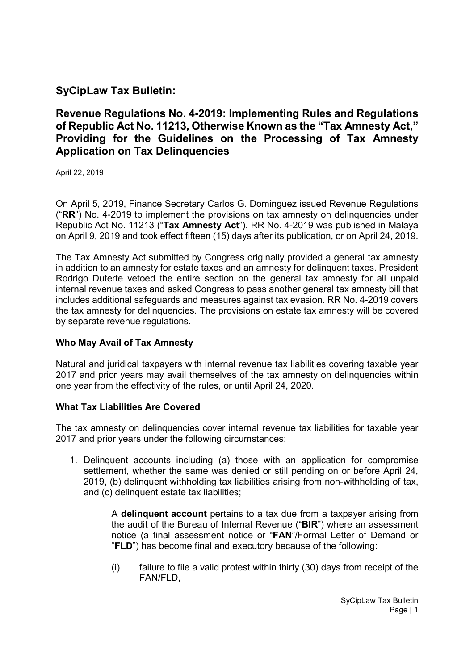# SyCipLaw Tax Bulletin:

# Revenue Regulations No. 4-2019: Implementing Rules and Regulations of Republic Act No. 11213, Otherwise Known as the "Tax Amnesty Act," Providing for the Guidelines on the Processing of Tax Amnesty Application on Tax Delinquencies

April 22, 2019

On April 5, 2019, Finance Secretary Carlos G. Dominguez issued Revenue Regulations (" $RR$ ") No. 4-2019 to implement the provisions on tax amnesty on delinguencies under Republic Act No. 11213 ("Tax Amnesty Act"). RR No. 4-2019 was published in Malaya on April 9, 2019 and took effect fifteen (15) days after its publication, or on April 24, 2019.

The Tax Amnesty Act submitted by Congress originally provided a general tax amnesty in addition to an amnesty for estate taxes and an amnesty for delinquent taxes. President Rodrigo Duterte vetoed the entire section on the general tax amnesty for all unpaid internal revenue taxes and asked Congress to pass another general tax amnesty bill that includes additional safeguards and measures against tax evasion. RR No. 4-2019 covers the tax amnesty for delinquencies. The provisions on estate tax amnesty will be covered by separate revenue regulations.

### Who May Avail of Tax Amnesty

Natural and juridical taxpayers with internal revenue tax liabilities covering taxable year 2017 and prior years may avail themselves of the tax amnesty on delinquencies within one year from the effectivity of the rules, or until April 24, 2020.

### What Tax Liabilities Are Covered

The tax amnesty on delinquencies cover internal revenue tax liabilities for taxable year 2017 and prior years under the following circumstances:

1. Delinquent accounts including (a) those with an application for compromise settlement, whether the same was denied or still pending on or before April 24, 2019, (b) delinquent withholding tax liabilities arising from non-withholding of tax, and (c) delinquent estate tax liabilities;

> A delinquent account pertains to a tax due from a taxpayer arising from the audit of the Bureau of Internal Revenue ("BIR") where an assessment notice (a final assessment notice or "FAN"/Formal Letter of Demand or "FLD") has become final and executory because of the following:

> (i) failure to file a valid protest within thirty (30) days from receipt of the FAN/FLD,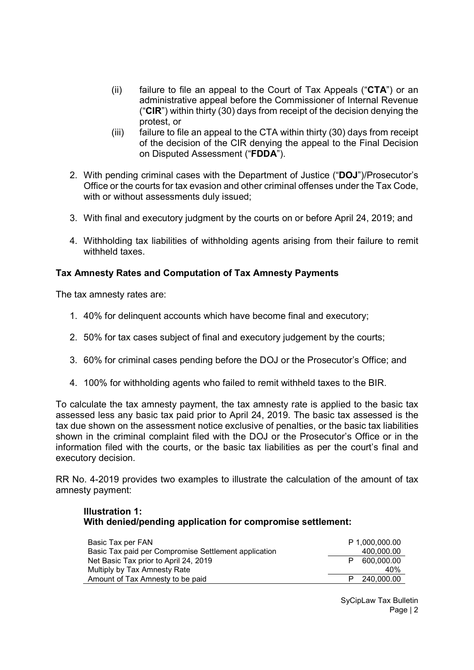- (ii) failure to file an appeal to the Court of Tax Appeals (" $\text{CTA}$ ") or an administrative appeal before the Commissioner of Internal Revenue (" $CIR$ ") within thirty (30) days from receipt of the decision denying the protest, or
- (iii) failure to file an appeal to the CTA within thirty (30) days from receipt of the decision of the CIR denying the appeal to the Final Decision on Disputed Assessment ("FDDA").
- 2. With pending criminal cases with the Department of Justice ("DOJ")/Prosecutor's Office or the courts for tax evasion and other criminal offenses under the Tax Code, with or without assessments duly issued;
- 3. With final and executory judgment by the courts on or before April 24, 2019; and
- 4. Withholding tax liabilities of withholding agents arising from their failure to remit withheld taxes.

## Tax Amnesty Rates and Computation of Tax Amnesty Payments

The tax amnesty rates are:

- 1. 40% for delinquent accounts which have become final and executory;
- 2. 50% for tax cases subject of final and executory judgement by the courts;
- 3. 60% for criminal cases pending before the DOJ or the Prosecutor's Office; and
- 4. 100% for withholding agents who failed to remit withheld taxes to the BIR.

To calculate the tax amnesty payment, the tax amnesty rate is applied to the basic tax assessed less any basic tax paid prior to April 24, 2019. The basic tax assessed is the tax due shown on the assessment notice exclusive of penalties, or the basic tax liabilities shown in the criminal complaint filed with the DOJ or the Prosecutor's Office or in the information filed with the courts, or the basic tax liabilities as per the court's final and executory decision.

RR No. 4-2019 provides two examples to illustrate the calculation of the amount of tax amnesty payment:

#### Illustration 1: With denied/pending application for compromise settlement:

| Basic Tax per FAN<br>Basic Tax paid per Compromise Settlement application | P 1.000.000.00<br>400,000.00 |
|---------------------------------------------------------------------------|------------------------------|
| Net Basic Tax prior to April 24, 2019                                     | 600.000.00                   |
| Multiply by Tax Amnesty Rate<br>Amount of Tax Amnesty to be paid          | 40%<br>P 240,000,00          |

SyCipLaw Tax Bulletin Page | 2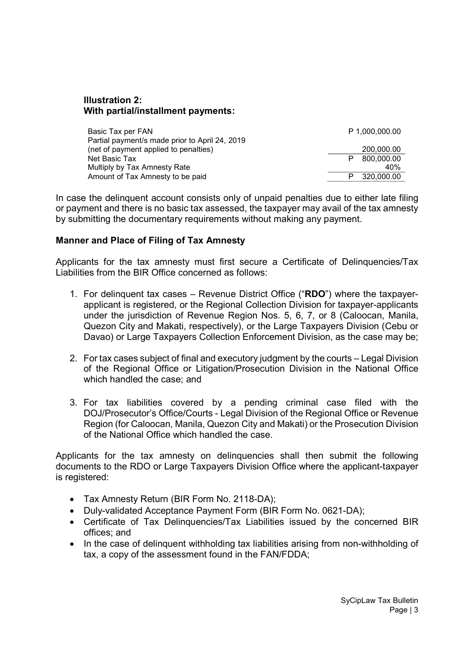#### Illustration 2: With partial/installment payments:

| Basic Tax per FAN                              |   | P 1,000,000.00 |
|------------------------------------------------|---|----------------|
| Partial payment/s made prior to April 24, 2019 |   |                |
| (net of payment applied to penalties)          |   | 200.000.00     |
| Net Basic Tax                                  | P | 800,000.00     |
| Multiply by Tax Amnesty Rate                   |   | 40%            |
| Amount of Tax Amnesty to be paid               |   | 320.000.00     |

In case the delinquent account consists only of unpaid penalties due to either late filing or payment and there is no basic tax assessed, the taxpayer may avail of the tax amnesty by submitting the documentary requirements without making any payment.

#### Manner and Place of Filing of Tax Amnesty

Applicants for the tax amnesty must first secure a Certificate of Delinquencies/Tax Liabilities from the BIR Office concerned as follows:

- 1. For delinquent tax cases Revenue District Office ("RDO") where the taxpayerapplicant is registered, or the Regional Collection Division for taxpayer-applicants under the jurisdiction of Revenue Region Nos. 5, 6, 7, or 8 (Caloocan, Manila, Quezon City and Makati, respectively), or the Large Taxpayers Division (Cebu or Davao) or Large Taxpayers Collection Enforcement Division, as the case may be;
- 2. For tax cases subject of final and executory judgment by the courts Legal Division of the Regional Office or Litigation/Prosecution Division in the National Office which handled the case; and
- 3. For tax liabilities covered by a pending criminal case filed with the DOJ/Prosecutor's Office/Courts - Legal Division of the Regional Office or Revenue Region (for Caloocan, Manila, Quezon City and Makati) or the Prosecution Division of the National Office which handled the case.

Applicants for the tax amnesty on delinquencies shall then submit the following documents to the RDO or Large Taxpayers Division Office where the applicant-taxpayer is registered:

- Tax Amnesty Return (BIR Form No. 2118-DA);
- Duly-validated Acceptance Payment Form (BIR Form No. 0621-DA);
- Certificate of Tax Delinquencies/Tax Liabilities issued by the concerned BIR offices; and
- In the case of delinguent withholding tax liabilities arising from non-withholding of tax, a copy of the assessment found in the FAN/FDDA;